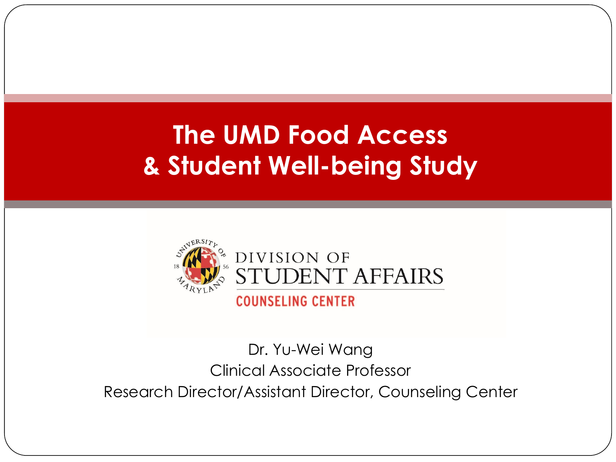#### **The UMD Food Access & Student Well-being Study**



#### Dr. Yu-Wei Wang Clinical Associate Professor Research Director/Assistant Director, Counseling Center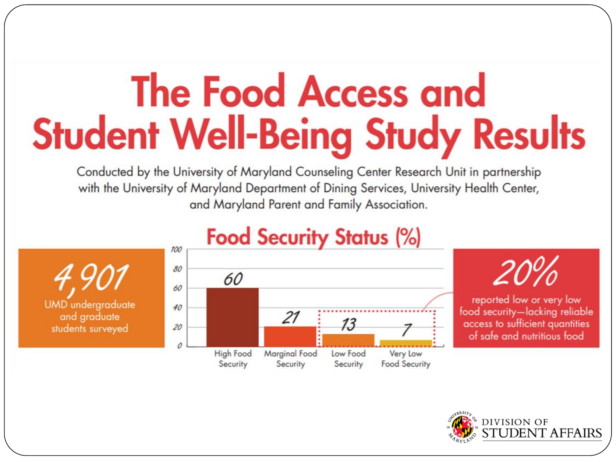# **The Food Access and Student Well-Being Study Results**

Conducted by the University of Maryland Counseling Center Research Unit in partnership with the University of Maryland Department of Dining Services, University Health Center, and Maryland Parent and Family Association.





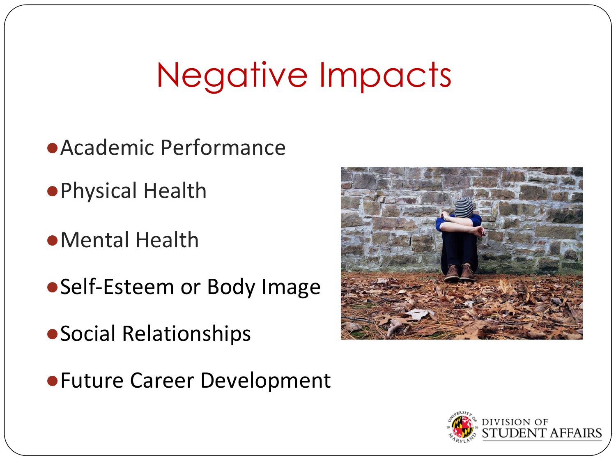### Negative Impacts

- ●Academic Performance
- ●Physical Health
- ●Mental Health
- ●Self-Esteem or Body Image
- ●Social Relationships
- ●Future Career Development



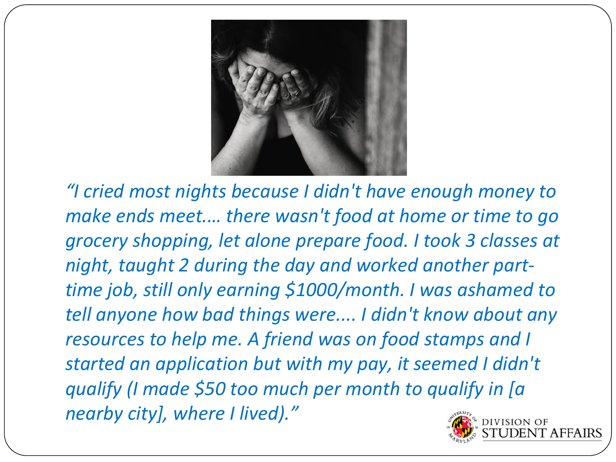

*"I cried most nights because I didn't have enough money to make ends meet.… there wasn't food at home or time to go grocery shopping, let alone prepare food. I took 3 classes at night, taught 2 during the day and worked another parttime job, still only earning \$1000/month. I was ashamed to tell anyone how bad things were.... I didn't know about any resources to help me. A friend was on food stamps and I started an application but with my pay, it seemed I didn't qualify (I made \$50 too much per month to qualify in [a nearby city], where I lived)."*

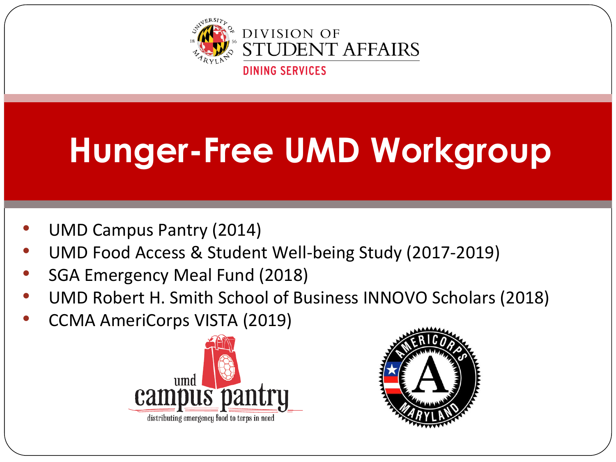

## **Hunger-Free UMD Workgroup**

- UMD Campus Pantry (2014)
- UMD Food Access & Student Well-being Study (2017-2019)
- SGA Emergency Meal Fund (2018)
- UMD Robert H. Smith School of Business INNOVO Scholars (2018)
- CCMA AmeriCorps VISTA (2019)